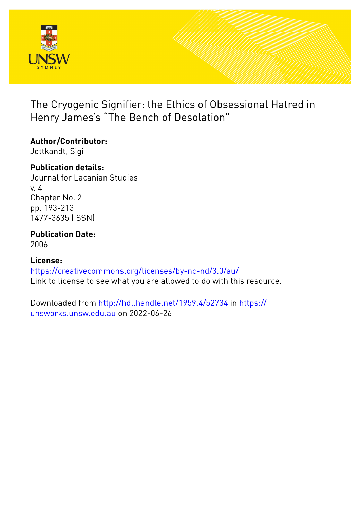

The Cryogenic Signifier: the Ethics of Obsessional Hatred in Henry James's "The Bench of Desolation"

# **Author/Contributor:**

Jottkandt, Sigi

### **Publication details:**

Journal for Lacanian Studies v. 4 Chapter No. 2 pp. 193-213 1477-3635 (ISSN)

### **Publication Date:**

2006

#### **License:**

<https://creativecommons.org/licenses/by-nc-nd/3.0/au/> Link to license to see what you are allowed to do with this resource.

Downloaded from <http://hdl.handle.net/1959.4/52734> in [https://](https://unsworks.unsw.edu.au) [unsworks.unsw.edu.au](https://unsworks.unsw.edu.au) on 2022-06-26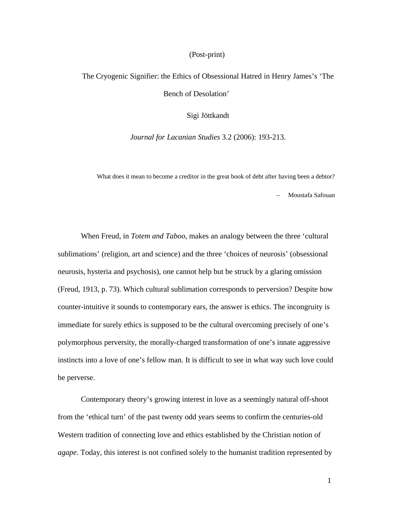#### (Post-print)

## The Cryogenic Signifier: the Ethics of Obsessional Hatred in Henry James's 'The Bench of Desolation'

Sigi Jöttkandt

*Journal for Lacanian Studies* 3.2 (2006): 193-213.

What does it mean to become a creditor in the great book of debt after having been a debtor? – Moustafa Safouan

When Freud, in *Totem and Taboo*, makes an analogy between the three 'cultural sublimations' (religion, art and science) and the three 'choices of neurosis' (obsessional neurosis, hysteria and psychosis), one cannot help but be struck by a glaring omission (Freud, 1913, p. 73). Which cultural sublimation corresponds to perversion? Despite how counter-intuitive it sounds to contemporary ears, the answer is ethics. The incongruity is immediate for surely ethics is supposed to be the cultural overcoming precisely of one's polymorphous perversity, the morally-charged transformation of one's innate aggressive instincts into a love of one's fellow man. It is difficult to see in what way such love could be perverse.

Contemporary theory's growing interest in love as a seemingly natural off-shoot from the 'ethical turn' of the past twenty odd years seems to confirm the centuries-old Western tradition of connecting love and ethics established by the Christian notion of *agape*. Today, this interest is not confined solely to the humanist tradition represented by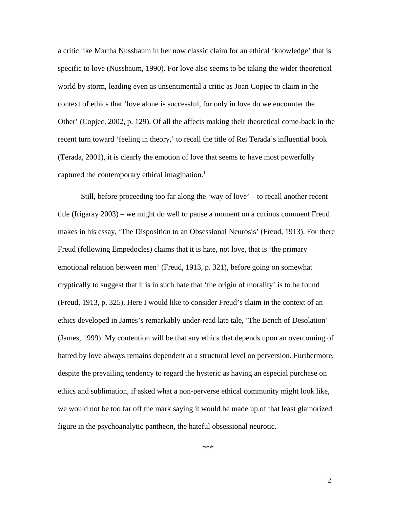a critic like Martha Nussbaum in her now classic claim for an ethical 'knowledge' that is specific to love (Nussbaum, 1990). For love also seems to be taking the wider theoretical world by storm, leading even as unsentimental a critic as Joan Copjec to claim in the context of ethics that 'love alone is successful, for only in love do we encounter the Other' (Copjec, 2002, p. 129). Of all the affects making their theoretical come-back in the recent turn toward 'feeling in theory,' to recall the title of Rei Terada's influential book (Terada, 2001), it is clearly the emotion of love that seems to have most powerfully captured the contemporary ethical imagination.<sup>1</sup>

Still, before proceeding too far along the 'way of love' – to recall another recent title (Irigaray 2003) – we might do well to pause a moment on a curious comment Freud makes in his essay, 'The Disposition to an Obsessional Neurosis' (Freud, 1913). For there Freud (following Empedocles) claims that it is hate, not love, that is 'the primary emotional relation between men' (Freud, 1913, p. 321), before going on somewhat cryptically to suggest that it is in such hate that 'the origin of morality' is to be found (Freud, 1913, p. 325). Here I would like to consider Freud's claim in the context of an ethics developed in James's remarkably under-read late tale, 'The Bench of Desolation' (James, 1999). My contention will be that any ethics that depends upon an overcoming of hatred by love always remains dependent at a structural level on perversion. Furthermore, despite the prevailing tendency to regard the hysteric as having an especial purchase on ethics and sublimation, if asked what a non-perverse ethical community might look like, we would not be too far off the mark saying it would be made up of that least glamorized figure in the psychoanalytic pantheon, the hateful obsessional neurotic.

\*\*\*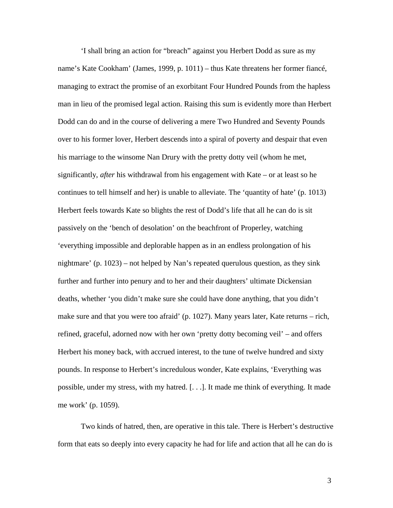'I shall bring an action for "breach" against you Herbert Dodd as sure as my name's Kate Cookham' (James, 1999, p. 1011) – thus Kate threatens her former fiancé, managing to extract the promise of an exorbitant Four Hundred Pounds from the hapless man in lieu of the promised legal action. Raising this sum is evidently more than Herbert Dodd can do and in the course of delivering a mere Two Hundred and Seventy Pounds over to his former lover, Herbert descends into a spiral of poverty and despair that even his marriage to the winsome Nan Drury with the pretty dotty veil (whom he met, significantly, *after* his withdrawal from his engagement with Kate – or at least so he continues to tell himself and her) is unable to alleviate. The 'quantity of hate' (p. 1013) Herbert feels towards Kate so blights the rest of Dodd's life that all he can do is sit passively on the 'bench of desolation' on the beachfront of Properley, watching 'everything impossible and deplorable happen as in an endless prolongation of his nightmare' (p. 1023) – not helped by Nan's repeated querulous question, as they sink further and further into penury and to her and their daughters' ultimate Dickensian deaths, whether 'you didn't make sure she could have done anything, that you didn't make sure and that you were too afraid' (p. 1027). Many years later, Kate returns – rich, refined, graceful, adorned now with her own 'pretty dotty becoming veil' – and offers Herbert his money back, with accrued interest, to the tune of twelve hundred and sixty pounds. In response to Herbert's incredulous wonder, Kate explains, 'Everything was possible, under my stress, with my hatred. [. . .]. It made me think of everything. It made me work' (p. 1059).

Two kinds of hatred, then, are operative in this tale. There is Herbert's destructive form that eats so deeply into every capacity he had for life and action that all he can do is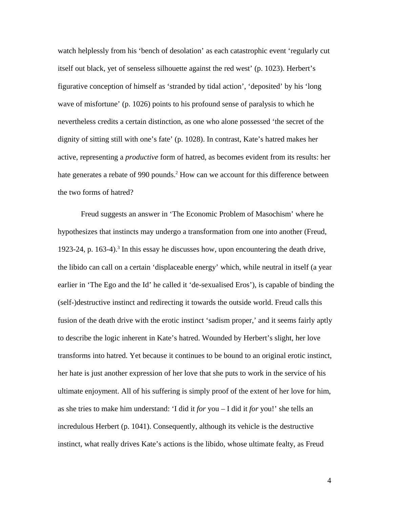watch helplessly from his 'bench of desolation' as each catastrophic event 'regularly cut itself out black, yet of senseless silhouette against the red west' (p. 1023). Herbert's figurative conception of himself as 'stranded by tidal action', 'deposited' by his 'long wave of misfortune' (p. 1026) points to his profound sense of paralysis to which he nevertheless credits a certain distinction, as one who alone possessed 'the secret of the dignity of sitting still with one's fate' (p. 1028). In contrast, Kate's hatred makes her active, representing a *productive* form of hatred, as becomes evident from its results: her hate generates a rebate of 990 pounds.<sup>2</sup> How can we account for this difference between the two forms of hatred?

Freud suggests an answer in 'The Economic Problem of Masochism' where he hypothesizes that instincts may undergo a transformation from one into another (Freud, 1923-24, p. 163-4).<sup>3</sup> In this essay he discusses how, upon encountering the death drive, the libido can call on a certain 'displaceable energy' which, while neutral in itself (a year earlier in 'The Ego and the Id' he called it 'de-sexualised Eros'), is capable of binding the (self-)destructive instinct and redirecting it towards the outside world. Freud calls this fusion of the death drive with the erotic instinct 'sadism proper,' and it seems fairly aptly to describe the logic inherent in Kate's hatred. Wounded by Herbert's slight, her love transforms into hatred. Yet because it continues to be bound to an original erotic instinct, her hate is just another expression of her love that she puts to work in the service of his ultimate enjoyment. All of his suffering is simply proof of the extent of her love for him, as she tries to make him understand: 'I did it *for* you – I did it *for* you!' she tells an incredulous Herbert (p. 1041). Consequently, although its vehicle is the destructive instinct, what really drives Kate's actions is the libido, whose ultimate fealty, as Freud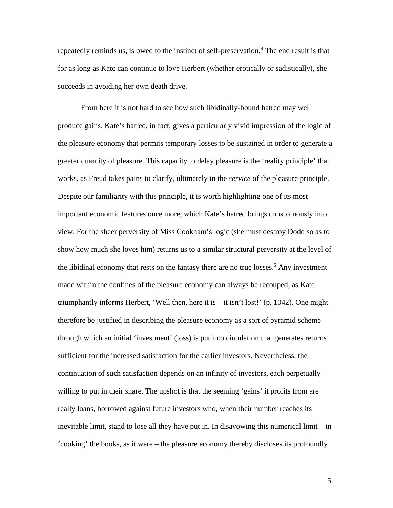repeatedly reminds us, is owed to the instinct of self-preservation.<sup>4</sup> The end result is that for as long as Kate can continue to love Herbert (whether erotically or sadistically), she succeeds in avoiding her own death drive.

From here it is not hard to see how such libidinally-bound hatred may well produce gains. Kate's hatred, in fact, gives a particularly vivid impression of the logic of the pleasure economy that permits temporary losses to be sustained in order to generate a greater quantity of pleasure. This capacity to delay pleasure is the 'reality principle' that works, as Freud takes pains to clarify, ultimately in the *service* of the pleasure principle. Despite our familiarity with this principle, it is worth highlighting one of its most important economic features once more, which Kate's hatred brings conspicuously into view. For the sheer perversity of Miss Cookham's logic (she must destroy Dodd so as to show how much she loves him) returns us to a similar structural perversity at the level of the libidinal economy that rests on the fantasy there are no true losses.<sup>5</sup> Any investment made within the confines of the pleasure economy can always be recouped, as Kate triumphantly informs Herbert, 'Well then, here it is  $-$  it isn't lost!' (p. 1042). One might therefore be justified in describing the pleasure economy as a sort of pyramid scheme through which an initial 'investment' (loss) is put into circulation that generates returns sufficient for the increased satisfaction for the earlier investors. Nevertheless, the continuation of such satisfaction depends on an infinity of investors, each perpetually willing to put in their share. The upshot is that the seeming 'gains' it profits from are really loans, borrowed against future investors who, when their number reaches its inevitable limit, stand to lose all they have put in. In disavowing this numerical limit – in 'cooking' the books, as it were – the pleasure economy thereby discloses its profoundly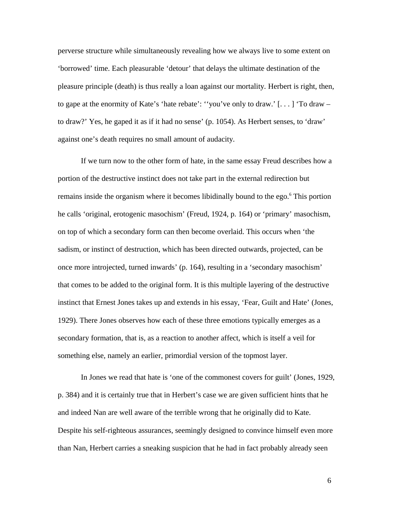perverse structure while simultaneously revealing how we always live to some extent on 'borrowed' time. Each pleasurable 'detour' that delays the ultimate destination of the pleasure principle (death) is thus really a loan against our mortality. Herbert is right, then, to gape at the enormity of Kate's 'hate rebate': "you've only to draw.'  $[...]$  'To draw – to draw?' Yes, he gaped it as if it had no sense' (p. 1054). As Herbert senses, to 'draw' against one's death requires no small amount of audacity.

If we turn now to the other form of hate, in the same essay Freud describes how a portion of the destructive instinct does not take part in the external redirection but remains inside the organism where it becomes libidinally bound to the ego.<sup>6</sup> This portion he calls 'original, erotogenic masochism' (Freud, 1924, p. 164) or 'primary' masochism, on top of which a secondary form can then become overlaid. This occurs when 'the sadism, or instinct of destruction, which has been directed outwards, projected, can be once more introjected, turned inwards' (p. 164), resulting in a 'secondary masochism' that comes to be added to the original form. It is this multiple layering of the destructive instinct that Ernest Jones takes up and extends in his essay, 'Fear, Guilt and Hate' (Jones, 1929). There Jones observes how each of these three emotions typically emerges as a secondary formation, that is, as a reaction to another affect, which is itself a veil for something else, namely an earlier, primordial version of the topmost layer.

In Jones we read that hate is 'one of the commonest covers for guilt' (Jones, 1929, p. 384) and it is certainly true that in Herbert's case we are given sufficient hints that he and indeed Nan are well aware of the terrible wrong that he originally did to Kate. Despite his self-righteous assurances, seemingly designed to convince himself even more than Nan, Herbert carries a sneaking suspicion that he had in fact probably already seen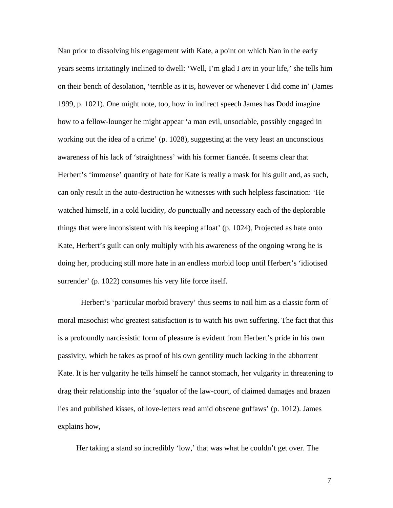Nan prior to dissolving his engagement with Kate, a point on which Nan in the early years seems irritatingly inclined to dwell: 'Well, I'm glad I *am* in your life,' she tells him on their bench of desolation, 'terrible as it is, however or whenever I did come in' (James 1999, p. 1021). One might note, too, how in indirect speech James has Dodd imagine how to a fellow-lounger he might appear 'a man evil, unsociable, possibly engaged in working out the idea of a crime' (p. 1028), suggesting at the very least an unconscious awareness of his lack of 'straightness' with his former fiancée. It seems clear that Herbert's 'immense' quantity of hate for Kate is really a mask for his guilt and, as such, can only result in the auto-destruction he witnesses with such helpless fascination: 'He watched himself, in a cold lucidity, *do* punctually and necessary each of the deplorable things that were inconsistent with his keeping afloat' (p. 1024). Projected as hate onto Kate, Herbert's guilt can only multiply with his awareness of the ongoing wrong he is doing her, producing still more hate in an endless morbid loop until Herbert's 'idiotised surrender' (p. 1022) consumes his very life force itself.

Herbert's 'particular morbid bravery' thus seems to nail him as a classic form of moral masochist who greatest satisfaction is to watch his own suffering. The fact that this is a profoundly narcissistic form of pleasure is evident from Herbert's pride in his own passivity, which he takes as proof of his own gentility much lacking in the abhorrent Kate. It is her vulgarity he tells himself he cannot stomach, her vulgarity in threatening to drag their relationship into the 'squalor of the law-court, of claimed damages and brazen lies and published kisses, of love-letters read amid obscene guffaws' (p. 1012). James explains how,

Her taking a stand so incredibly 'low,' that was what he couldn't get over. The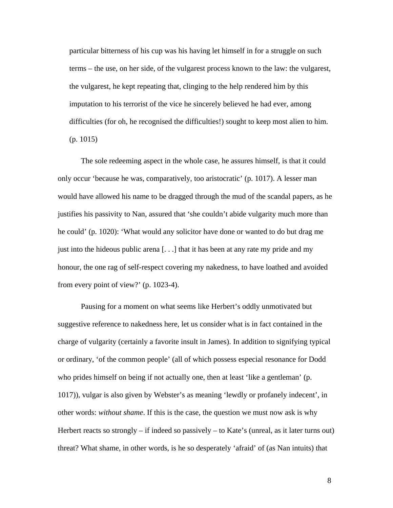particular bitterness of his cup was his having let himself in for a struggle on such terms – the use, on her side, of the vulgarest process known to the law: the vulgarest, the vulgarest, he kept repeating that, clinging to the help rendered him by this imputation to his terrorist of the vice he sincerely believed he had ever, among difficulties (for oh, he recognised the difficulties!) sought to keep most alien to him. (p. 1015)

The sole redeeming aspect in the whole case, he assures himself, is that it could only occur 'because he was, comparatively, too aristocratic' (p. 1017). A lesser man would have allowed his name to be dragged through the mud of the scandal papers, as he justifies his passivity to Nan, assured that 'she couldn't abide vulgarity much more than he could' (p. 1020): 'What would any solicitor have done or wanted to do but drag me just into the hideous public arena  $[...]$  that it has been at any rate my pride and my honour, the one rag of self-respect covering my nakedness, to have loathed and avoided from every point of view?' (p. 1023-4).

Pausing for a moment on what seems like Herbert's oddly unmotivated but suggestive reference to nakedness here, let us consider what is in fact contained in the charge of vulgarity (certainly a favorite insult in James). In addition to signifying typical or ordinary, 'of the common people' (all of which possess especial resonance for Dodd who prides himself on being if not actually one, then at least 'like a gentleman' (p. 1017)), vulgar is also given by Webster's as meaning 'lewdly or profanely indecent', in other words: *without shame*. If this is the case, the question we must now ask is why Herbert reacts so strongly  $-$  if indeed so passively  $-$  to Kate's (unreal, as it later turns out) threat? What shame, in other words, is he so desperately 'afraid' of (as Nan intuits) that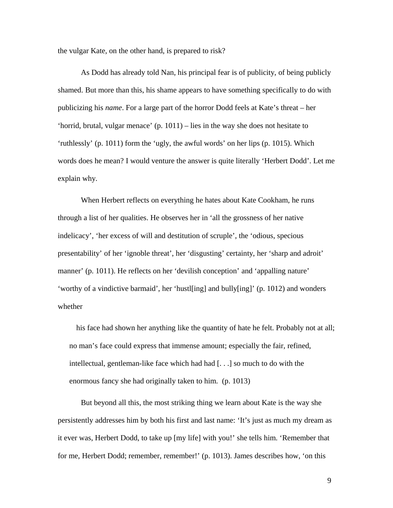the vulgar Kate, on the other hand, is prepared to risk?

As Dodd has already told Nan, his principal fear is of publicity, of being publicly shamed. But more than this, his shame appears to have something specifically to do with publicizing his *name*. For a large part of the horror Dodd feels at Kate's threat – her 'horrid, brutal, vulgar menace'  $(p. 1011)$  – lies in the way she does not hesitate to 'ruthlessly' (p. 1011) form the 'ugly, the awful words' on her lips (p. 1015). Which words does he mean? I would venture the answer is quite literally 'Herbert Dodd'. Let me explain why.

When Herbert reflects on everything he hates about Kate Cookham, he runs through a list of her qualities. He observes her in 'all the grossness of her native indelicacy', 'her excess of will and destitution of scruple', the 'odious, specious presentability' of her 'ignoble threat', her 'disgusting' certainty, her 'sharp and adroit' manner' (p. 1011). He reflects on her 'devilish conception' and 'appalling nature' 'worthy of a vindictive barmaid', her 'hustl[ing] and bully[ing]' (p. 1012) and wonders whether

his face had shown her anything like the quantity of hate he felt. Probably not at all; no man's face could express that immense amount; especially the fair, refined, intellectual, gentleman-like face which had had [. . .] so much to do with the enormous fancy she had originally taken to him. (p. 1013)

But beyond all this, the most striking thing we learn about Kate is the way she persistently addresses him by both his first and last name: 'It's just as much my dream as it ever was, Herbert Dodd, to take up [my life] with you!' she tells him. 'Remember that for me, Herbert Dodd; remember, remember!' (p. 1013). James describes how, 'on this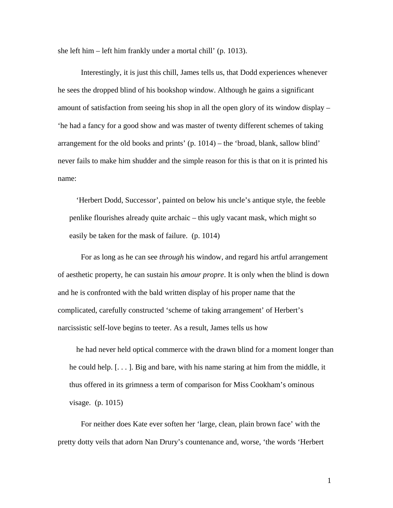she left him – left him frankly under a mortal chill' (p. 1013).

Interestingly, it is just this chill, James tells us, that Dodd experiences whenever he sees the dropped blind of his bookshop window. Although he gains a significant amount of satisfaction from seeing his shop in all the open glory of its window display – 'he had a fancy for a good show and was master of twenty different schemes of taking arrangement for the old books and prints' (p. 1014) – the 'broad, blank, sallow blind' never fails to make him shudder and the simple reason for this is that on it is printed his name:

'Herbert Dodd, Successor', painted on below his uncle's antique style, the feeble penlike flourishes already quite archaic – this ugly vacant mask, which might so easily be taken for the mask of failure. (p. 1014)

For as long as he can see *through* his window, and regard his artful arrangement of aesthetic property, he can sustain his *amour propre*. It is only when the blind is down and he is confronted with the bald written display of his proper name that the complicated, carefully constructed 'scheme of taking arrangement' of Herbert's narcissistic self-love begins to teeter. As a result, James tells us how

he had never held optical commerce with the drawn blind for a moment longer than he could help. [. . . ]. Big and bare, with his name staring at him from the middle, it thus offered in its grimness a term of comparison for Miss Cookham's ominous visage. (p. 1015)

For neither does Kate ever soften her 'large, clean, plain brown face' with the pretty dotty veils that adorn Nan Drury's countenance and, worse, 'the words 'Herbert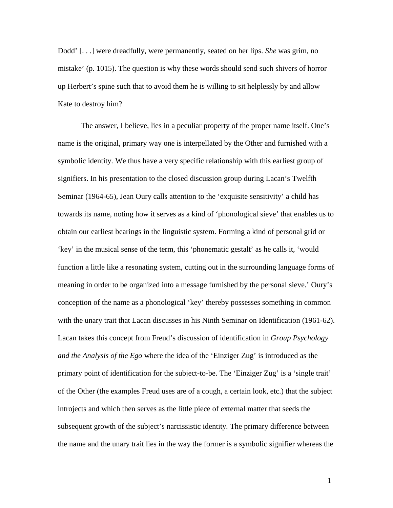Dodd' [. . .] were dreadfully, were permanently, seated on her lips. *She* was grim, no mistake' (p. 1015). The question is why these words should send such shivers of horror up Herbert's spine such that to avoid them he is willing to sit helplessly by and allow Kate to destroy him?

The answer, I believe, lies in a peculiar property of the proper name itself. One's name is the original, primary way one is interpellated by the Other and furnished with a symbolic identity. We thus have a very specific relationship with this earliest group of signifiers. In his presentation to the closed discussion group during Lacan's Twelfth Seminar (1964-65), Jean Oury calls attention to the 'exquisite sensitivity' a child has towards its name, noting how it serves as a kind of 'phonological sieve' that enables us to obtain our earliest bearings in the linguistic system. Forming a kind of personal grid or 'key' in the musical sense of the term, this 'phonematic gestalt' as he calls it, 'would function a little like a resonating system, cutting out in the surrounding language forms of meaning in order to be organized into a message furnished by the personal sieve.' Oury's conception of the name as a phonological 'key' thereby possesses something in common with the unary trait that Lacan discusses in his Ninth Seminar on Identification (1961-62). Lacan takes this concept from Freud's discussion of identification in *Group Psychology and the Analysis of the Ego* where the idea of the 'Einziger Zug' is introduced as the primary point of identification for the subject-to-be. The 'Einziger Zug' is a 'single trait' of the Other (the examples Freud uses are of a cough, a certain look, etc.) that the subject introjects and which then serves as the little piece of external matter that seeds the subsequent growth of the subject's narcissistic identity. The primary difference between the name and the unary trait lies in the way the former is a symbolic signifier whereas the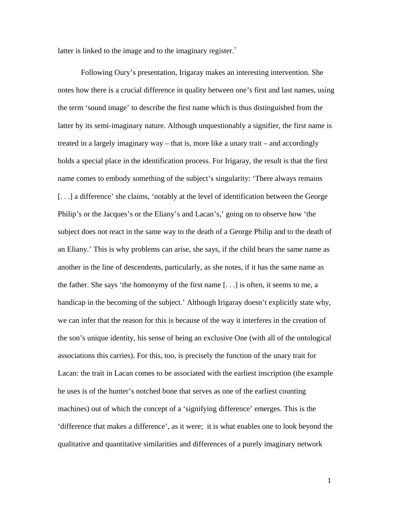latter is linked to the image and to the imaginary register.<sup>7</sup>

Following Oury's presentation, Irigaray makes an interesting intervention. She notes how there is a crucial difference in quality between one's first and last names, using the term 'sound image' to describe the first name which is thus distinguished from the latter by its semi-imaginary nature. Although unquestionably a signifier, the first name is treated in a largely imaginary way – that is, more like a unary trait – and accordingly holds a special place in the identification process. For Irigaray, the result is that the first name comes to embody something of the subject's singularity: 'There always remains [. . .] a difference' she claims, 'notably at the level of identification between the George Philip's or the Jacques's or the Eliany's and Lacan's,' going on to observe how 'the subject does not react in the same way to the death of a George Philip and to the death of an Eliany.' This is why problems can arise, she says, if the child bears the same name as another in the line of descendents, particularly, as she notes, if it has the same name as the father. She says 'the homonymy of the first name  $[...]$  is often, it seems to me, a handicap in the becoming of the subject.' Although Irigaray doesn't explicitly state why, we can infer that the reason for this is because of the way it interferes in the creation of the son's unique identity, his sense of being an exclusive One (with all of the ontological associations this carries). For this, too, is precisely the function of the unary trait for Lacan: the trait in Lacan comes to be associated with the earliest inscription (the example he uses is of the hunter's notched bone that serves as one of the earliest counting machines) out of which the concept of a 'signifying difference' emerges. This is the 'difference that makes a difference', as it were; it is what enables one to look beyond the qualitative and quantitative similarities and differences of a purely imaginary network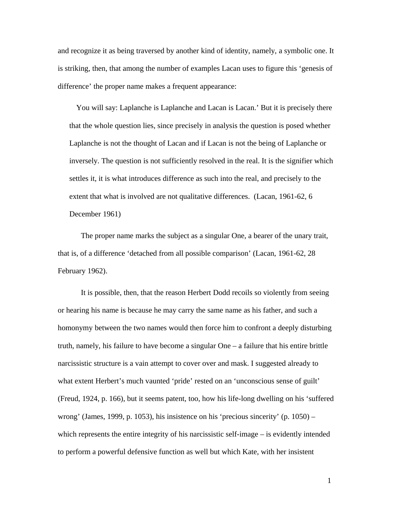and recognize it as being traversed by another kind of identity, namely, a symbolic one. It is striking, then, that among the number of examples Lacan uses to figure this 'genesis of difference' the proper name makes a frequent appearance:

You will say: Laplanche is Laplanche and Lacan is Lacan.' But it is precisely there that the whole question lies, since precisely in analysis the question is posed whether Laplanche is not the thought of Lacan and if Lacan is not the being of Laplanche or inversely. The question is not sufficiently resolved in the real. It is the signifier which settles it, it is what introduces difference as such into the real, and precisely to the extent that what is involved are not qualitative differences. (Lacan, 1961-62, 6 December 1961)

The proper name marks the subject as a singular One, a bearer of the unary trait, that is, of a difference 'detached from all possible comparison' (Lacan, 1961-62, 28 February 1962).

It is possible, then, that the reason Herbert Dodd recoils so violently from seeing or hearing his name is because he may carry the same name as his father, and such a homonymy between the two names would then force him to confront a deeply disturbing truth, namely, his failure to have become a singular One – a failure that his entire brittle narcissistic structure is a vain attempt to cover over and mask. I suggested already to what extent Herbert's much vaunted 'pride' rested on an 'unconscious sense of guilt' (Freud, 1924, p. 166), but it seems patent, too, how his life-long dwelling on his 'suffered wrong' (James, 1999, p. 1053), his insistence on his 'precious sincerity' (p. 1050) – which represents the entire integrity of his narcissistic self-image – is evidently intended to perform a powerful defensive function as well but which Kate, with her insistent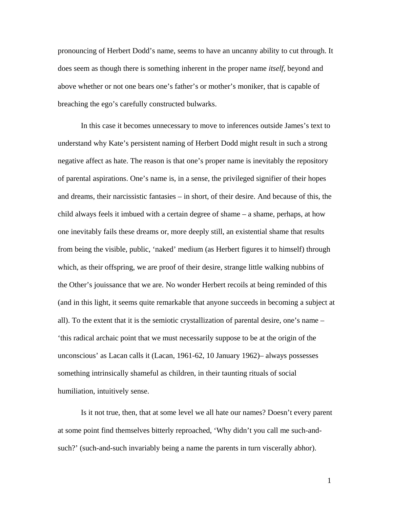pronouncing of Herbert Dodd's name, seems to have an uncanny ability to cut through. It does seem as though there is something inherent in the proper name *itself*, beyond and above whether or not one bears one's father's or mother's moniker, that is capable of breaching the ego's carefully constructed bulwarks.

In this case it becomes unnecessary to move to inferences outside James's text to understand why Kate's persistent naming of Herbert Dodd might result in such a strong negative affect as hate. The reason is that one's proper name is inevitably the repository of parental aspirations. One's name is, in a sense, the privileged signifier of their hopes and dreams, their narcissistic fantasies – in short, of their desire. And because of this, the child always feels it imbued with a certain degree of shame – a shame, perhaps, at how one inevitably fails these dreams or, more deeply still, an existential shame that results from being the visible, public, 'naked' medium (as Herbert figures it to himself) through which, as their offspring, we are proof of their desire, strange little walking nubbins of the Other's jouissance that we are. No wonder Herbert recoils at being reminded of this (and in this light, it seems quite remarkable that anyone succeeds in becoming a subject at all). To the extent that it is the semiotic crystallization of parental desire, one's name – 'this radical archaic point that we must necessarily suppose to be at the origin of the unconscious' as Lacan calls it (Lacan, 1961-62, 10 January 1962)– always possesses something intrinsically shameful as children, in their taunting rituals of social humiliation, intuitively sense.

Is it not true, then, that at some level we all hate our names? Doesn't every parent at some point find themselves bitterly reproached, 'Why didn't you call me such-andsuch?' (such-and-such invariably being a name the parents in turn viscerally abhor).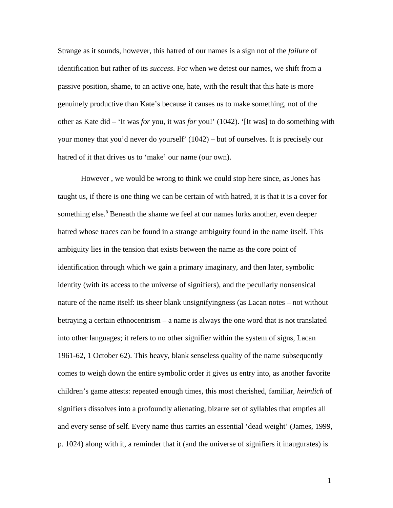Strange as it sounds, however, this hatred of our names is a sign not of the *failure* of identification but rather of its *success*. For when we detest our names, we shift from a passive position, shame, to an active one, hate, with the result that this hate is more genuinely productive than Kate's because it causes us to make something, not of the other as Kate did – 'It was *for* you, it was *for* you!' (1042). '[It was] to do something with your money that you'd never do yourself' (1042) – but of ourselves. It is precisely our hatred of it that drives us to 'make' our name (our own).

However , we would be wrong to think we could stop here since, as Jones has taught us, if there is one thing we can be certain of with hatred, it is that it is a cover for something else.<sup>8</sup> Beneath the shame we feel at our names lurks another, even deeper hatred whose traces can be found in a strange ambiguity found in the name itself. This ambiguity lies in the tension that exists between the name as the core point of identification through which we gain a primary imaginary, and then later, symbolic identity (with its access to the universe of signifiers), and the peculiarly nonsensical nature of the name itself: its sheer blank unsignifyingness (as Lacan notes – not without betraying a certain ethnocentrism – a name is always the one word that is not translated into other languages; it refers to no other signifier within the system of signs, Lacan 1961-62, 1 October 62). This heavy, blank senseless quality of the name subsequently comes to weigh down the entire symbolic order it gives us entry into, as another favorite children's game attests: repeated enough times, this most cherished, familiar, *heimlich* of signifiers dissolves into a profoundly alienating, bizarre set of syllables that empties all and every sense of self. Every name thus carries an essential 'dead weight' (James, 1999, p. 1024) along with it, a reminder that it (and the universe of signifiers it inaugurates) is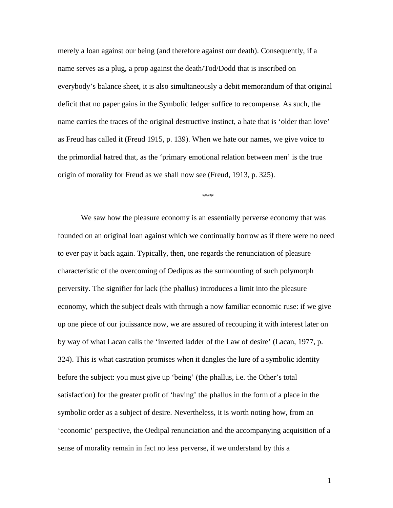merely a loan against our being (and therefore against our death). Consequently, if a name serves as a plug, a prop against the death/Tod/Dodd that is inscribed on everybody's balance sheet, it is also simultaneously a debit memorandum of that original deficit that no paper gains in the Symbolic ledger suffice to recompense. As such, the name carries the traces of the original destructive instinct, a hate that is 'older than love' as Freud has called it (Freud 1915, p. 139). When we hate our names, we give voice to the primordial hatred that, as the 'primary emotional relation between men' is the true origin of morality for Freud as we shall now see (Freud, 1913, p. 325).

\*\*\*

We saw how the pleasure economy is an essentially perverse economy that was founded on an original loan against which we continually borrow as if there were no need to ever pay it back again. Typically, then, one regards the renunciation of pleasure characteristic of the overcoming of Oedipus as the surmounting of such polymorph perversity. The signifier for lack (the phallus) introduces a limit into the pleasure economy, which the subject deals with through a now familiar economic ruse: if we give up one piece of our jouissance now, we are assured of recouping it with interest later on by way of what Lacan calls the 'inverted ladder of the Law of desire' (Lacan, 1977, p. 324). This is what castration promises when it dangles the lure of a symbolic identity before the subject: you must give up 'being' (the phallus, i.e. the Other's total satisfaction) for the greater profit of 'having' the phallus in the form of a place in the symbolic order as a subject of desire. Nevertheless, it is worth noting how, from an 'economic' perspective, the Oedipal renunciation and the accompanying acquisition of a sense of morality remain in fact no less perverse, if we understand by this a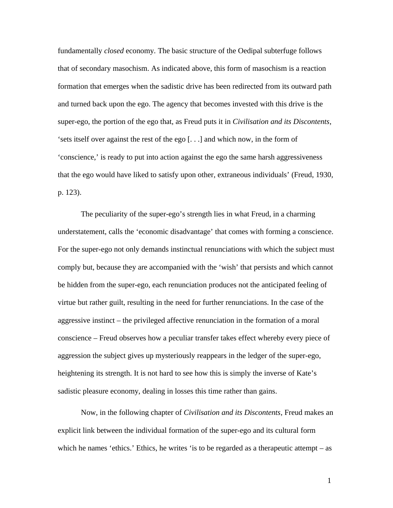fundamentally *closed* economy. The basic structure of the Oedipal subterfuge follows that of secondary masochism. As indicated above, this form of masochism is a reaction formation that emerges when the sadistic drive has been redirected from its outward path and turned back upon the ego. The agency that becomes invested with this drive is the super-ego, the portion of the ego that, as Freud puts it in *Civilisation and its Discontents*, 'sets itself over against the rest of the ego [. . .] and which now, in the form of 'conscience,' is ready to put into action against the ego the same harsh aggressiveness that the ego would have liked to satisfy upon other, extraneous individuals' (Freud, 1930, p. 123).

The peculiarity of the super-ego's strength lies in what Freud, in a charming understatement, calls the 'economic disadvantage' that comes with forming a conscience. For the super-ego not only demands instinctual renunciations with which the subject must comply but, because they are accompanied with the 'wish' that persists and which cannot be hidden from the super-ego, each renunciation produces not the anticipated feeling of virtue but rather guilt, resulting in the need for further renunciations. In the case of the aggressive instinct – the privileged affective renunciation in the formation of a moral conscience – Freud observes how a peculiar transfer takes effect whereby every piece of aggression the subject gives up mysteriously reappears in the ledger of the super-ego, heightening its strength. It is not hard to see how this is simply the inverse of Kate's sadistic pleasure economy, dealing in losses this time rather than gains.

Now, in the following chapter of *Civilisation and its Discontents*, Freud makes an explicit link between the individual formation of the super-ego and its cultural form which he names 'ethics.' Ethics, he writes 'is to be regarded as a therapeutic attempt – as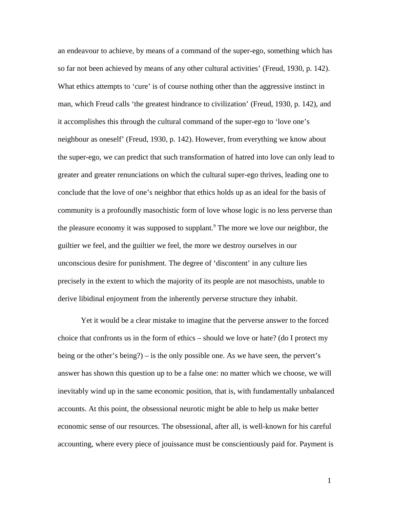an endeavour to achieve, by means of a command of the super-ego, something which has so far not been achieved by means of any other cultural activities' (Freud, 1930, p. 142). What ethics attempts to 'cure' is of course nothing other than the aggressive instinct in man, which Freud calls 'the greatest hindrance to civilization' (Freud, 1930, p. 142), and it accomplishes this through the cultural command of the super-ego to 'love one's neighbour as oneself' (Freud, 1930, p. 142). However, from everything we know about the super-ego, we can predict that such transformation of hatred into love can only lead to greater and greater renunciations on which the cultural super-ego thrives, leading one to conclude that the love of one's neighbor that ethics holds up as an ideal for the basis of community is a profoundly masochistic form of love whose logic is no less perverse than the pleasure economy it was supposed to supplant.<sup>9</sup> The more we love our neighbor, the guiltier we feel, and the guiltier we feel, the more we destroy ourselves in our unconscious desire for punishment. The degree of 'discontent' in any culture lies precisely in the extent to which the majority of its people are not masochists, unable to derive libidinal enjoyment from the inherently perverse structure they inhabit.

Yet it would be a clear mistake to imagine that the perverse answer to the forced choice that confronts us in the form of ethics – should we love or hate? (do I protect my being or the other's being?) – is the only possible one. As we have seen, the pervert's answer has shown this question up to be a false one: no matter which we choose, we will inevitably wind up in the same economic position, that is, with fundamentally unbalanced accounts. At this point, the obsessional neurotic might be able to help us make better economic sense of our resources. The obsessional, after all, is well-known for his careful accounting, where every piece of jouissance must be conscientiously paid for. Payment is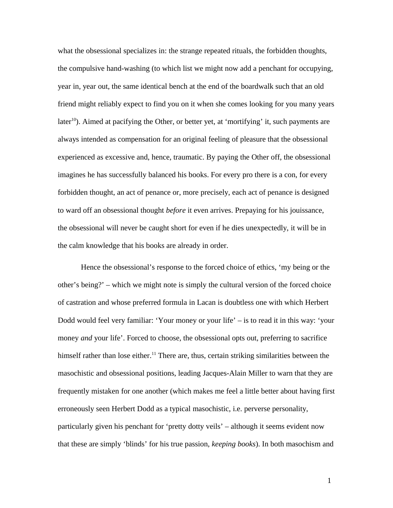what the obsessional specializes in: the strange repeated rituals, the forbidden thoughts, the compulsive hand-washing (to which list we might now add a penchant for occupying, year in, year out, the same identical bench at the end of the boardwalk such that an old friend might reliably expect to find you on it when she comes looking for you many years later<sup>10</sup>). Aimed at pacifying the Other, or better yet, at 'mortifying' it, such payments are always intended as compensation for an original feeling of pleasure that the obsessional experienced as excessive and, hence, traumatic. By paying the Other off, the obsessional imagines he has successfully balanced his books. For every pro there is a con, for every forbidden thought, an act of penance or, more precisely, each act of penance is designed to ward off an obsessional thought *before* it even arrives. Prepaying for his jouissance, the obsessional will never be caught short for even if he dies unexpectedly, it will be in the calm knowledge that his books are already in order.

Hence the obsessional's response to the forced choice of ethics, 'my being or the other's being?' – which we might note is simply the cultural version of the forced choice of castration and whose preferred formula in Lacan is doubtless one with which Herbert Dodd would feel very familiar: 'Your money or your life' – is to read it in this way: 'your money *and* your life'. Forced to choose, the obsessional opts out, preferring to sacrifice himself rather than lose either.<sup>11</sup> There are, thus, certain striking similarities between the masochistic and obsessional positions, leading Jacques-Alain Miller to warn that they are frequently mistaken for one another (which makes me feel a little better about having first erroneously seen Herbert Dodd as a typical masochistic, i.e. perverse personality, particularly given his penchant for 'pretty dotty veils' – although it seems evident now that these are simply 'blinds' for his true passion, *keeping books*). In both masochism and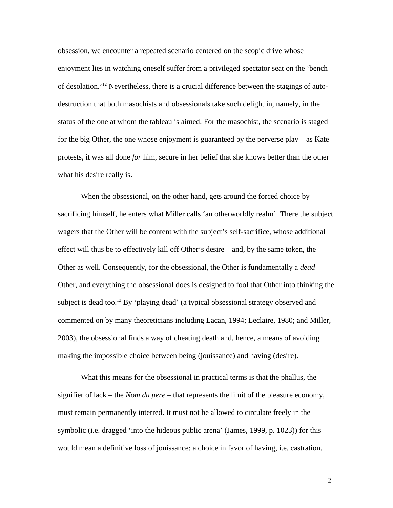obsession, we encounter a repeated scenario centered on the scopic drive whose enjoyment lies in watching oneself suffer from a privileged spectator seat on the 'bench of desolation.'12 Nevertheless, there is a crucial difference between the stagings of autodestruction that both masochists and obsessionals take such delight in, namely, in the status of the one at whom the tableau is aimed. For the masochist, the scenario is staged for the big Other, the one whose enjoyment is guaranteed by the perverse play – as Kate protests, it was all done *for* him, secure in her belief that she knows better than the other what his desire really is.

When the obsessional, on the other hand, gets around the forced choice by sacrificing himself, he enters what Miller calls 'an otherworldly realm'. There the subject wagers that the Other will be content with the subject's self-sacrifice, whose additional effect will thus be to effectively kill off Other's desire – and, by the same token, the Other as well. Consequently, for the obsessional, the Other is fundamentally a *dead* Other, and everything the obsessional does is designed to fool that Other into thinking the subject is dead too.<sup>13</sup> By 'playing dead' (a typical obsessional strategy observed and commented on by many theoreticians including Lacan, 1994; Leclaire, 1980; and Miller, 2003), the obsessional finds a way of cheating death and, hence, a means of avoiding making the impossible choice between being (jouissance) and having (desire).

What this means for the obsessional in practical terms is that the phallus, the signifier of lack – the *Nom du pere* – that represents the limit of the pleasure economy, must remain permanently interred. It must not be allowed to circulate freely in the symbolic (i.e. dragged 'into the hideous public arena' (James, 1999, p. 1023)) for this would mean a definitive loss of jouissance: a choice in favor of having, i.e. castration.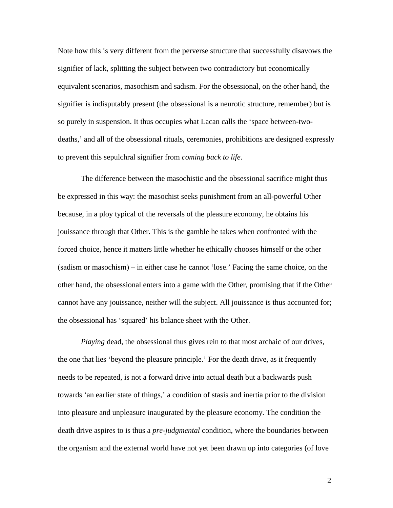Note how this is very different from the perverse structure that successfully disavows the signifier of lack, splitting the subject between two contradictory but economically equivalent scenarios, masochism and sadism. For the obsessional, on the other hand, the signifier is indisputably present (the obsessional is a neurotic structure, remember) but is so purely in suspension. It thus occupies what Lacan calls the 'space between-twodeaths,' and all of the obsessional rituals, ceremonies, prohibitions are designed expressly to prevent this sepulchral signifier from *coming back to life*.

The difference between the masochistic and the obsessional sacrifice might thus be expressed in this way: the masochist seeks punishment from an all-powerful Other because, in a ploy typical of the reversals of the pleasure economy, he obtains his jouissance through that Other. This is the gamble he takes when confronted with the forced choice, hence it matters little whether he ethically chooses himself or the other (sadism or masochism) – in either case he cannot 'lose.' Facing the same choice, on the other hand, the obsessional enters into a game with the Other, promising that if the Other cannot have any jouissance, neither will the subject. All jouissance is thus accounted for; the obsessional has 'squared' his balance sheet with the Other.

*Playing* dead, the obsessional thus gives rein to that most archaic of our drives, the one that lies 'beyond the pleasure principle.' For the death drive, as it frequently needs to be repeated, is not a forward drive into actual death but a backwards push towards 'an earlier state of things,' a condition of stasis and inertia prior to the division into pleasure and unpleasure inaugurated by the pleasure economy. The condition the death drive aspires to is thus a *pre-judgmental* condition, where the boundaries between the organism and the external world have not yet been drawn up into categories (of love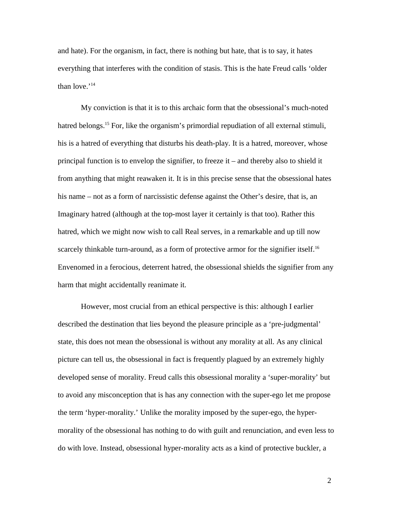and hate). For the organism, in fact, there is nothing but hate, that is to say, it hates everything that interferes with the condition of stasis. This is the hate Freud calls 'older than love.'<sup>14</sup>

My conviction is that it is to this archaic form that the obsessional's much-noted hatred belongs.<sup>15</sup> For, like the organism's primordial repudiation of all external stimuli, his is a hatred of everything that disturbs his death-play. It is a hatred, moreover, whose principal function is to envelop the signifier, to freeze it – and thereby also to shield it from anything that might reawaken it. It is in this precise sense that the obsessional hates his name – not as a form of narcissistic defense against the Other's desire, that is, an Imaginary hatred (although at the top-most layer it certainly is that too). Rather this hatred, which we might now wish to call Real serves, in a remarkable and up till now scarcely thinkable turn-around, as a form of protective armor for the signifier itself.<sup>16</sup> Envenomed in a ferocious, deterrent hatred, the obsessional shields the signifier from any harm that might accidentally reanimate it*.*

However, most crucial from an ethical perspective is this: although I earlier described the destination that lies beyond the pleasure principle as a 'pre-judgmental' state, this does not mean the obsessional is without any morality at all. As any clinical picture can tell us, the obsessional in fact is frequently plagued by an extremely highly developed sense of morality. Freud calls this obsessional morality a 'super-morality' but to avoid any misconception that is has any connection with the super-ego let me propose the term 'hyper-morality.' Unlike the morality imposed by the super-ego, the hypermorality of the obsessional has nothing to do with guilt and renunciation, and even less to do with love. Instead, obsessional hyper-morality acts as a kind of protective buckler, a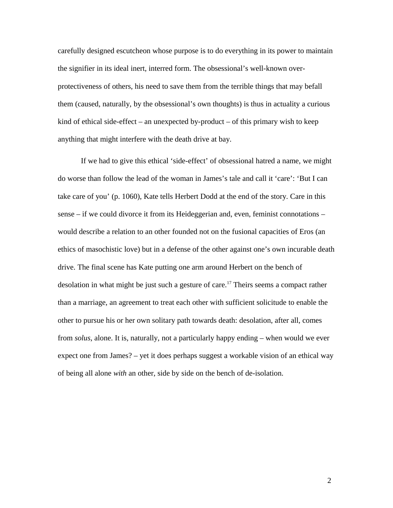carefully designed escutcheon whose purpose is to do everything in its power to maintain the signifier in its ideal inert, interred form. The obsessional's well-known overprotectiveness of others, his need to save them from the terrible things that may befall them (caused, naturally, by the obsessional's own thoughts) is thus in actuality a curious kind of ethical side-effect – an unexpected by-product – of this primary wish to keep anything that might interfere with the death drive at bay.

If we had to give this ethical 'side-effect' of obsessional hatred a name, we might do worse than follow the lead of the woman in James's tale and call it 'care': 'But I can take care of you' (p. 1060), Kate tells Herbert Dodd at the end of the story. Care in this sense – if we could divorce it from its Heideggerian and, even, feminist connotations – would describe a relation to an other founded not on the fusional capacities of Eros (an ethics of masochistic love) but in a defense of the other against one's own incurable death drive. The final scene has Kate putting one arm around Herbert on the bench of desolation in what might be just such a gesture of care.<sup>17</sup> Theirs seems a compact rather than a marriage, an agreement to treat each other with sufficient solicitude to enable the other to pursue his or her own solitary path towards death: desolation, after all, comes from *solus*, alone. It is, naturally, not a particularly happy ending – when would we ever expect one from James? – yet it does perhaps suggest a workable vision of an ethical way of being all alone *with* an other, side by side on the bench of de-isolation.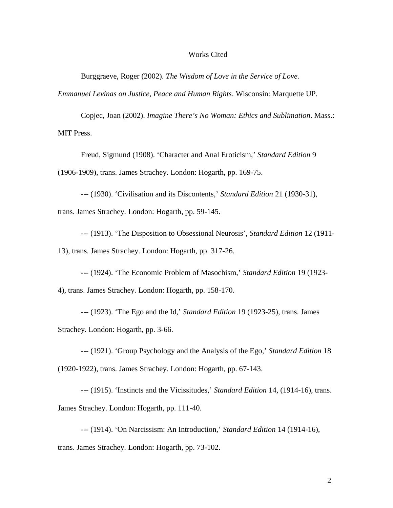#### Works Cited

Burggraeve, Roger (2002). *The Wisdom of Love in the Service of Love.* 

*Emmanuel Levinas on Justice, Peace and Human Rights*. Wisconsin: Marquette UP.

Copjec, Joan (2002). *Imagine There's No Woman: Ethics and Sublimation*. Mass.: MIT Press.

Freud, Sigmund (1908). 'Character and Anal Eroticism,' *Standard Edition* 9 (1906-1909), trans. James Strachey. London: Hogarth, pp. 169-75.

--- (1930). 'Civilisation and its Discontents,' *Standard Edition* 21 (1930-31), trans. James Strachey. London: Hogarth, pp. 59-145.

--- (1913). 'The Disposition to Obsessional Neurosis', *Standard Edition* 12 (1911- 13), trans. James Strachey. London: Hogarth, pp. 317-26.

--- (1924). 'The Economic Problem of Masochism,' *Standard Edition* 19 (1923- 4), trans. James Strachey. London: Hogarth, pp. 158-170.

--- (1923). 'The Ego and the Id,' *Standard Edition* 19 (1923-25), trans. James Strachey. London: Hogarth, pp. 3-66.

--- (1921). 'Group Psychology and the Analysis of the Ego,' *Standard Edition* 18 (1920-1922), trans. James Strachey. London: Hogarth, pp. 67-143.

--- (1915). 'Instincts and the Vicissitudes,' *Standard Edition* 14, (1914-16), trans. James Strachey. London: Hogarth, pp. 111-40.

--- (1914). 'On Narcissism: An Introduction,' *Standard Edition* 14 (1914-16), trans. James Strachey. London: Hogarth, pp. 73-102.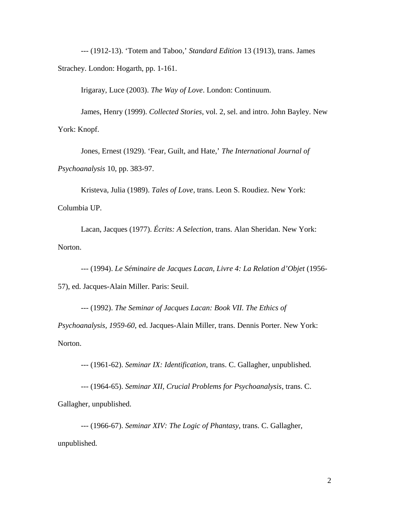--- (1912-13). 'Totem and Taboo,' *Standard Edition* 13 (1913), trans. James Strachey. London: Hogarth, pp. 1-161.

Irigaray, Luce (2003). *The Way of Love*. London: Continuum.

James, Henry (1999). *Collected Stories*, vol. 2, sel. and intro. John Bayley. New York: Knopf.

Jones, Ernest (1929). 'Fear, Guilt, and Hate,' *The International Journal of Psychoanalysis* 10, pp. 383-97.

Kristeva, Julia (1989). *Tales of Love*, trans. Leon S. Roudiez. New York: Columbia UP.

Lacan, Jacques (1977). *Écrits: A Selection*, trans. Alan Sheridan. New York: Norton.

--- (1994). *Le Séminaire de Jacques Lacan, Livre 4: La Relation d'Objet* (1956- 57), ed. Jacques-Alain Miller. Paris: Seuil.

--- (1992). *The Seminar of Jacques Lacan: Book VII. The Ethics of Psychoanalysis, 1959-60*, ed. Jacques-Alain Miller, trans. Dennis Porter. New York:

Norton.

--- (1961-62). *Seminar IX: Identification*, trans. C. Gallagher, unpublished*.*

--- (1964-65). *Seminar XII, Crucial Problems for Psychoanalysis*, trans. C. Gallagher, unpublished*.*

--- (1966-67). *Seminar XIV: The Logic of Phantasy*, trans. C. Gallagher, unpublished*.*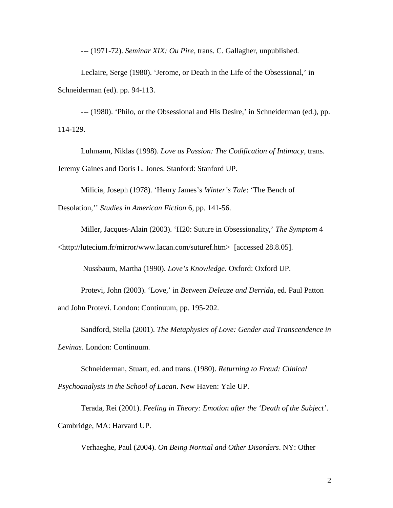--- (1971-72). *Seminar XIX: Ou Pire*, trans. C. Gallagher, unpublished*.*

Leclaire, Serge (1980). 'Jerome, or Death in the Life of the Obsessional,' in Schneiderman (ed). pp. 94-113.

--- (1980). 'Philo, or the Obsessional and His Desire,' in Schneiderman (ed.), pp. 114-129.

Luhmann, Niklas (1998). *Love as Passion: The Codification of Intimacy*, trans. Jeremy Gaines and Doris L. Jones. Stanford: Stanford UP.

Milicia, Joseph (1978). 'Henry James's *Winter's Tale*: 'The Bench of Desolation,'' *Studies in American Fiction* 6, pp. 141-56.

Miller, Jacques-Alain (2003). 'H20: Suture in Obsessionality,' *The Symptom* 4 <http://lutecium.fr/mirror/www.lacan.com/suturef.htm> [accessed 28.8.05].

Nussbaum, Martha (1990). *Love's Knowledge*. Oxford: Oxford UP.

Protevi, John (2003). 'Love,' in *Between Deleuze and Derrida*, ed. Paul Patton and John Protevi. London: Continuum, pp. 195-202.

Sandford, Stella (2001). *The Metaphysics of Love: Gender and Transcendence in Levinas*. London: Continuum.

Schneiderman, Stuart, ed. and trans. (1980). *Returning to Freud: Clinical Psychoanalysis in the School of Lacan*. New Haven: Yale UP.

Terada, Rei (2001). *Feeling in Theory: Emotion after the 'Death of the Subject'*. Cambridge, MA: Harvard UP.

Verhaeghe, Paul (2004). *On Being Normal and Other Disorders*. NY: Other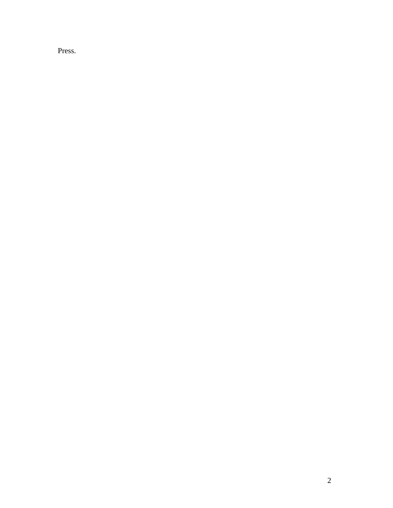Press.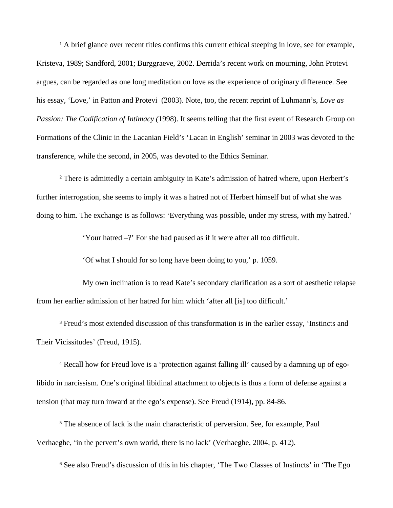<sup>1</sup> A brief glance over recent titles confirms this current ethical steeping in love, see for example, Kristeva, 1989; Sandford, 2001; Burggraeve, 2002. Derrida's recent work on mourning, John Protevi argues, can be regarded as one long meditation on love as the experience of originary difference. See his essay, 'Love,' in Patton and Protevi (2003). Note, too, the recent reprint of Luhmann's, *Love as Passion: The Codification of Intimacy (*1998). It seems telling that the first event of Research Group on Formations of the Clinic in the Lacanian Field's 'Lacan in English' seminar in 2003 was devoted to the transference, while the second, in 2005, was devoted to the Ethics Seminar.

2 There is admittedly a certain ambiguity in Kate's admission of hatred where, upon Herbert's further interrogation, she seems to imply it was a hatred not of Herbert himself but of what she was doing to him. The exchange is as follows: 'Everything was possible, under my stress, with my hatred.'

'Your hatred –?' For she had paused as if it were after all too difficult.

'Of what I should for so long have been doing to you,' p. 1059.

My own inclination is to read Kate's secondary clarification as a sort of aesthetic relapse from her earlier admission of her hatred for him which 'after all [is] too difficult.'

<sup>3</sup> Freud's most extended discussion of this transformation is in the earlier essay, 'Instincts and Their Vicissitudes' (Freud, 1915).

4 Recall how for Freud love is a 'protection against falling ill' caused by a damning up of egolibido in narcissism. One's original libidinal attachment to objects is thus a form of defense against a tension (that may turn inward at the ego's expense). See Freud (1914), pp. 84-86.

<sup>5</sup> The absence of lack is the main characteristic of perversion. See, for example, Paul Verhaeghe, 'in the pervert's own world, there is no lack' (Verhaeghe, 2004, p. 412).

<sup>6</sup> See also Freud's discussion of this in his chapter, 'The Two Classes of Instincts' in 'The Ego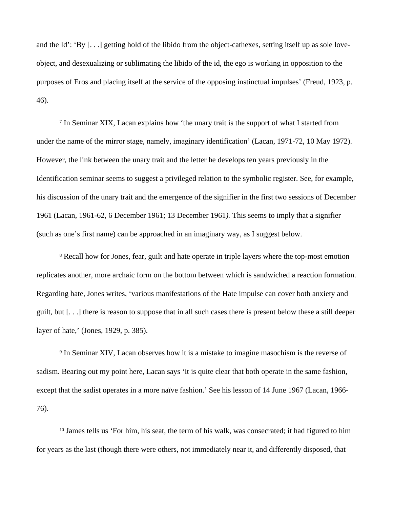and the Id': 'By [. . .] getting hold of the libido from the object-cathexes, setting itself up as sole loveobject, and desexualizing or sublimating the libido of the id, the ego is working in opposition to the purposes of Eros and placing itself at the service of the opposing instinctual impulses' (Freud, 1923, p. 46).

7 In Seminar XIX, Lacan explains how 'the unary trait is the support of what I started from under the name of the mirror stage, namely, imaginary identification' (Lacan, 1971-72, 10 May 1972)*.* However, the link between the unary trait and the letter he develops ten years previously in the Identification seminar seems to suggest a privileged relation to the symbolic register. See, for example, his discussion of the unary trait and the emergence of the signifier in the first two sessions of December 1961 (Lacan, 1961-62, 6 December 1961; 13 December 1961*).* This seems to imply that a signifier (such as one's first name) can be approached in an imaginary way, as I suggest below.

<sup>8</sup> Recall how for Jones, fear, guilt and hate operate in triple layers where the top-most emotion replicates another, more archaic form on the bottom between which is sandwiched a reaction formation. Regarding hate, Jones writes, 'various manifestations of the Hate impulse can cover both anxiety and guilt, but [. . .] there is reason to suppose that in all such cases there is present below these a still deeper layer of hate,' (Jones, 1929, p. 385).

<sup>9</sup> In Seminar XIV, Lacan observes how it is a mistake to imagine masochism is the reverse of sadism. Bearing out my point here, Lacan says 'it is quite clear that both operate in the same fashion, except that the sadist operates in a more naïve fashion.' See his lesson of 14 June 1967 (Lacan, 1966- 76).

<sup>10</sup> James tells us 'For him, his seat, the term of his walk, was consecrated; it had figured to him for years as the last (though there were others, not immediately near it, and differently disposed, that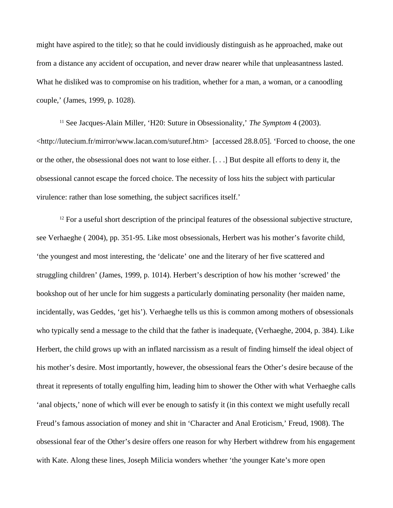might have aspired to the title); so that he could invidiously distinguish as he approached, make out from a distance any accident of occupation, and never draw nearer while that unpleasantness lasted. What he disliked was to compromise on his tradition, whether for a man, a woman, or a canoodling couple,' (James, 1999, p. 1028).

<sup>11</sup> See Jacques-Alain Miller, 'H20: Suture in Obsessionality,' *The Symptom* 4 (2003). <http://lutecium.fr/mirror/www.lacan.com/suturef.htm> [accessed 28.8.05]. 'Forced to choose, the one or the other, the obsessional does not want to lose either. [. . .] But despite all efforts to deny it, the obsessional cannot escape the forced choice. The necessity of loss hits the subject with particular virulence: rather than lose something, the subject sacrifices itself.'

 $12$  For a useful short description of the principal features of the obsessional subjective structure, see Verhaeghe ( 2004), pp. 351-95. Like most obsessionals, Herbert was his mother's favorite child, 'the youngest and most interesting, the 'delicate' one and the literary of her five scattered and struggling children' (James, 1999, p. 1014). Herbert's description of how his mother 'screwed' the bookshop out of her uncle for him suggests a particularly dominating personality (her maiden name, incidentally, was Geddes, 'get his'). Verhaeghe tells us this is common among mothers of obsessionals who typically send a message to the child that the father is inadequate, (Verhaeghe, 2004, p. 384). Like Herbert, the child grows up with an inflated narcissism as a result of finding himself the ideal object of his mother's desire. Most importantly, however, the obsessional fears the Other's desire because of the threat it represents of totally engulfing him, leading him to shower the Other with what Verhaeghe calls 'anal objects,' none of which will ever be enough to satisfy it (in this context we might usefully recall Freud's famous association of money and shit in 'Character and Anal Eroticism,' Freud, 1908). The obsessional fear of the Other's desire offers one reason for why Herbert withdrew from his engagement with Kate. Along these lines, Joseph Milicia wonders whether 'the younger Kate's more open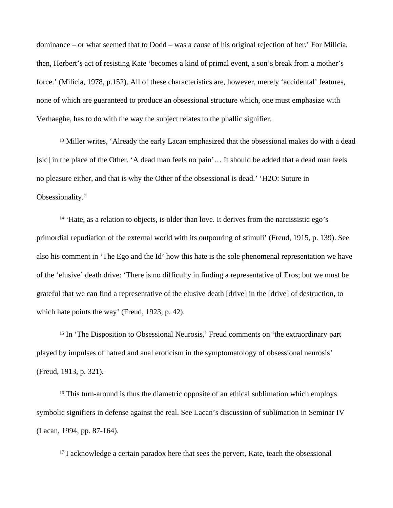dominance – or what seemed that to Dodd – was a cause of his original rejection of her.' For Milicia, then, Herbert's act of resisting Kate 'becomes a kind of primal event, a son's break from a mother's force.' (Milicia, 1978, p.152). All of these characteristics are, however, merely 'accidental' features, none of which are guaranteed to produce an obsessional structure which, one must emphasize with Verhaeghe, has to do with the way the subject relates to the phallic signifier.

<sup>13</sup> Miller writes, 'Already the early Lacan emphasized that the obsessional makes do with a dead [sic] in the place of the Other. 'A dead man feels no pain'... It should be added that a dead man feels no pleasure either, and that is why the Other of the obsessional is dead.' 'H2O: Suture in Obsessionality.'

 $14$  'Hate, as a relation to objects, is older than love. It derives from the narcissistic ego's primordial repudiation of the external world with its outpouring of stimuli' (Freud, 1915, p. 139). See also his comment in 'The Ego and the Id' how this hate is the sole phenomenal representation we have of the 'elusive' death drive: 'There is no difficulty in finding a representative of Eros; but we must be grateful that we can find a representative of the elusive death [drive] in the [drive] of destruction, to which hate points the way' (Freud, 1923, p. 42).

<sup>15</sup> In 'The Disposition to Obsessional Neurosis,' Freud comments on 'the extraordinary part played by impulses of hatred and anal eroticism in the symptomatology of obsessional neurosis' (Freud, 1913, p. 321).

<sup>16</sup> This turn-around is thus the diametric opposite of an ethical sublimation which employs symbolic signifiers in defense against the real. See Lacan's discussion of sublimation in Seminar IV (Lacan, 1994*,* pp. 87-164).

<sup>17</sup> I acknowledge a certain paradox here that sees the pervert, Kate, teach the obsessional